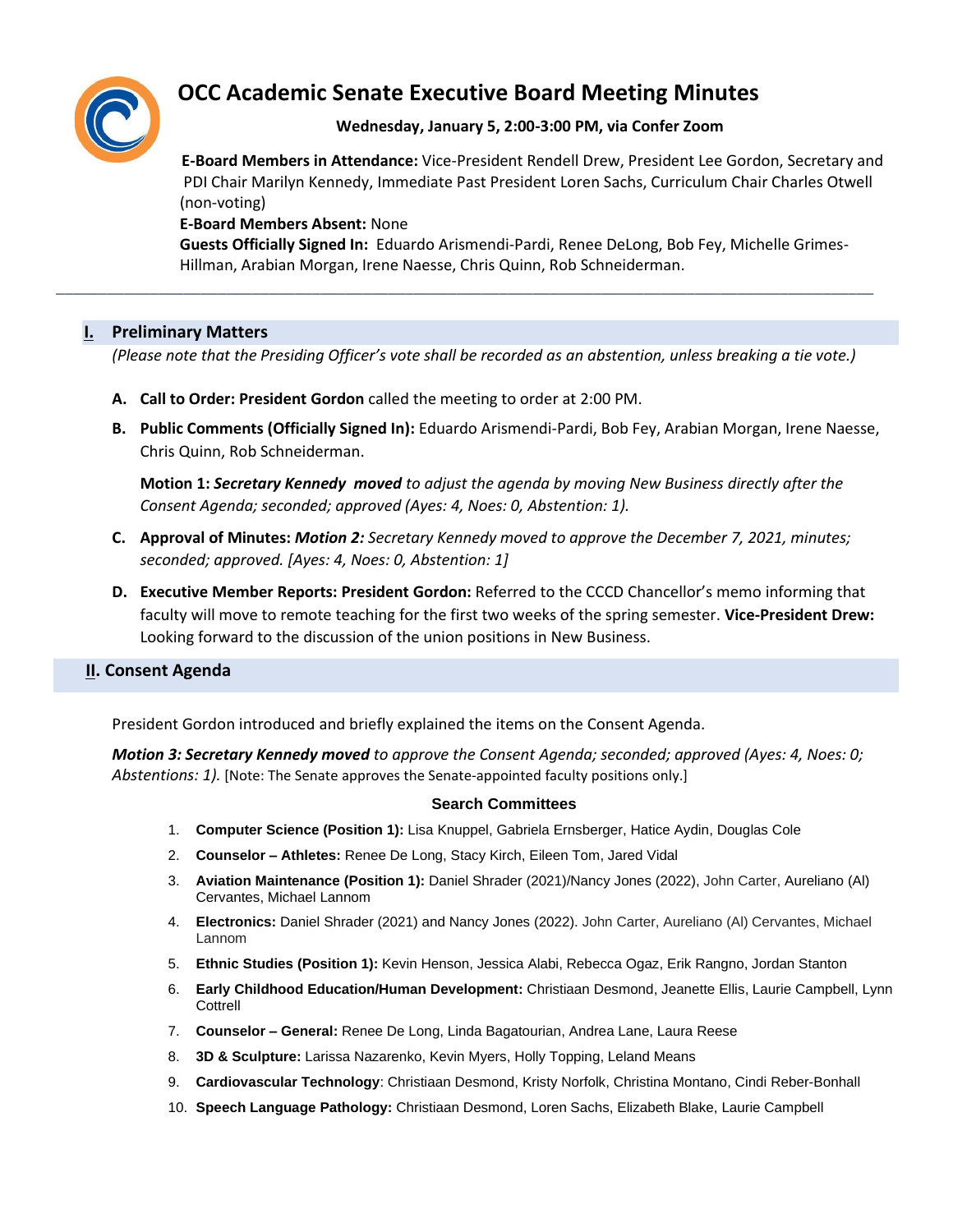

# **OCC Academic Senate Executive Board Meeting Minutes**

# **Wednesday, January 5, 2:00-3:00 PM, via Confer Zoom**

 **E-Board Members in Attendance:** Vice-President Rendell Drew, President Lee Gordon, Secretary and PDI Chair Marilyn Kennedy, Immediate Past President Loren Sachs, Curriculum Chair Charles Otwell (non-voting)

#### **E-Board Members Absent:** None

 **Guests Officially Signed In:** Eduardo Arismendi-Pardi, Renee DeLong, Bob Fey, Michelle Grimes- Hillman, Arabian Morgan, Irene Naesse, Chris Quinn, Rob Schneiderman.

#### **I. Preliminary Matters**

*(Please note that the Presiding Officer's vote shall be recorded as an abstention, unless breaking a tie vote.)*

\_\_\_\_\_\_\_\_\_\_\_\_\_\_\_\_\_\_\_\_\_\_\_\_\_\_\_\_\_\_\_\_\_\_\_\_\_\_\_\_\_\_\_\_\_\_\_\_\_\_\_\_\_\_\_\_\_\_\_\_\_\_\_\_\_\_\_\_\_\_\_\_\_\_\_\_\_\_\_\_\_\_\_\_\_\_\_\_\_\_\_\_\_\_\_\_

- **A. Call to Order: President Gordon** called the meeting to order at 2:00 PM.
- **B. Public Comments (Officially Signed In):** Eduardo Arismendi-Pardi, Bob Fey, Arabian Morgan, Irene Naesse, Chris Quinn, Rob Schneiderman.

**Motion 1:** *Secretary Kennedy moved to adjust the agenda by moving New Business directly after the Consent Agenda; seconded; approved (Ayes: 4, Noes: 0, Abstention: 1).*

- **C. Approval of Minutes:** *Motion 2: Secretary Kennedy moved to approve the December 7, 2021, minutes; seconded; approved. [Ayes: 4, Noes: 0, Abstention: 1]*
- **D. Executive Member Reports: President Gordon:** Referred to the CCCD Chancellor's memo informing that faculty will move to remote teaching for the first two weeks of the spring semester. **Vice-President Drew:** Looking forward to the discussion of the union positions in New Business.

### **II. Consent Agenda**

President Gordon introduced and briefly explained the items on the Consent Agenda.

*Motion 3: Secretary Kennedy moved to approve the Consent Agenda; seconded; approved (Ayes: 4, Noes: 0; Abstentions: 1).* [Note: The Senate approves the Senate-appointed faculty positions only.]

#### **Search Committees**

- 1. **Computer Science (Position 1):** Lisa Knuppel, Gabriela Ernsberger, Hatice Aydin, Douglas Cole
- 2. **Counselor – Athletes:** Renee De Long, Stacy Kirch, Eileen Tom, Jared Vidal
- 3. **Aviation Maintenance (Position 1):** Daniel Shrader (2021)/Nancy Jones (2022), John Carter, Aureliano (Al) Cervantes, Michael Lannom
- 4. **Electronics:** Daniel Shrader (2021) and Nancy Jones (2022). John Carter, Aureliano (Al) Cervantes, Michael Lannom
- 5. **Ethnic Studies (Position 1):** Kevin Henson, Jessica Alabi, Rebecca Ogaz, Erik Rangno, Jordan Stanton
- 6. **Early Childhood Education/Human Development:** Christiaan Desmond, Jeanette Ellis, Laurie Campbell, Lynn Cottrell
- 7. **Counselor – General:** Renee De Long, Linda Bagatourian, Andrea Lane, Laura Reese
- 8. **3D & Sculpture:** Larissa Nazarenko, Kevin Myers, Holly Topping, Leland Means
- 9. **Cardiovascular Technology**: Christiaan Desmond, Kristy Norfolk, Christina Montano, Cindi Reber-Bonhall
- 10. **Speech Language Pathology:** Christiaan Desmond, Loren Sachs, Elizabeth Blake, Laurie Campbell